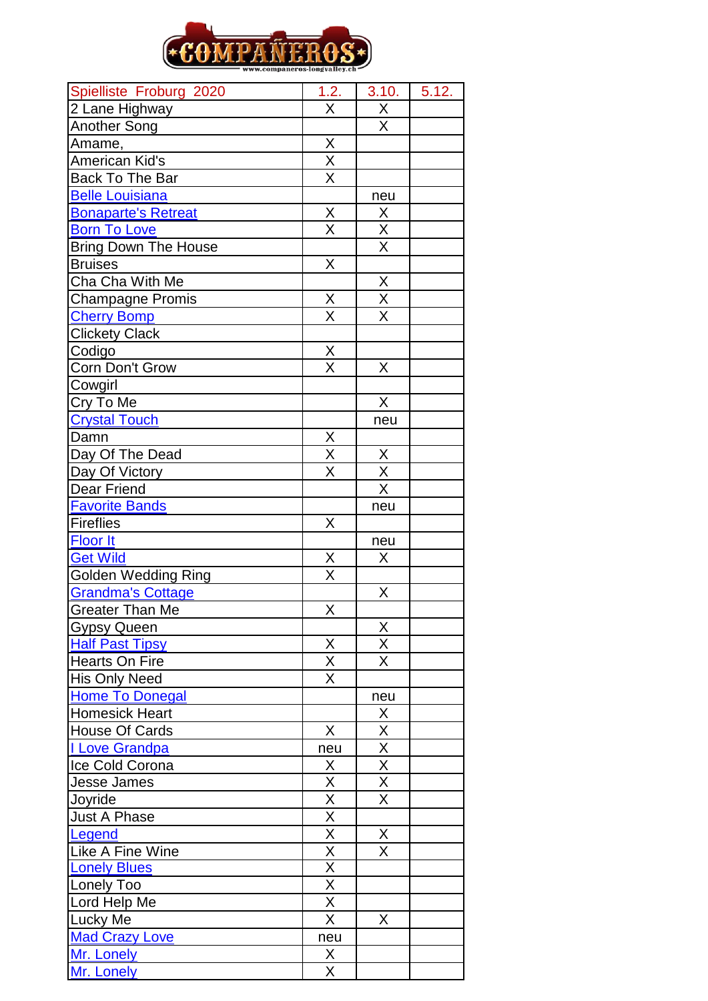

| Spielliste Froburg 2020     | <u>1.2.</u>                         | 3.10.                   | 5.12. |
|-----------------------------|-------------------------------------|-------------------------|-------|
| 2 Lane Highway              | $\overline{\mathsf{x}}$             | X                       |       |
| <b>Another Song</b>         |                                     | $\sf X$                 |       |
| Amame,                      |                                     |                         |       |
| <b>American Kid's</b>       | $\frac{X}{X}$                       |                         |       |
| Back To The Bar             |                                     |                         |       |
| <b>Belle Louisiana</b>      |                                     | neu                     |       |
| <b>Bonaparte's Retreat</b>  | X                                   | X                       |       |
| <b>Born To Love</b>         | $\overline{\mathsf{X}}$             | $\overline{X}$          |       |
| <b>Bring Down The House</b> |                                     | $\overline{\mathsf{x}}$ |       |
| <b>Bruises</b>              | X                                   |                         |       |
| Cha Cha With Me             |                                     | $\overline{X}$          |       |
| <b>Champagne Promis</b>     | X                                   | $\overline{\mathsf{x}}$ |       |
| <b>Cherry Bomp</b>          | X                                   | $\overline{\mathsf{X}}$ |       |
| <b>Clickety Clack</b>       |                                     |                         |       |
| Codigo                      | X                                   |                         |       |
| Corn Don't Grow             | X                                   | X                       |       |
| Cowgirl                     |                                     |                         |       |
| Cry To Me                   |                                     | X                       |       |
| <b>Crystal Touch</b>        |                                     | neu                     |       |
| Damn                        | X                                   |                         |       |
| Day Of The Dead             | $\overline{\mathsf{x}}$             | X                       |       |
| Day Of Victory              | $\overline{\mathsf{x}}$             | $\overline{X}$          |       |
| Dear Friend                 |                                     | $\overline{\mathsf{x}}$ |       |
| <b>Favorite Bands</b>       |                                     | neu                     |       |
| <b>Fireflies</b>            | X                                   |                         |       |
| <b>Floor It</b>             |                                     | neu                     |       |
| <b>Get Wild</b>             | X                                   | X                       |       |
| <b>Golden Wedding Ring</b>  | X                                   |                         |       |
| <b>Grandma's Cottage</b>    |                                     | Χ                       |       |
| <b>Greater Than Me</b>      | X                                   |                         |       |
| <b>Gypsy Queen</b>          |                                     | $\underline{X}$         |       |
| <b>Half Past Tipsy</b>      |                                     | $\overline{X}$          |       |
| Hearts On Fire              | $\frac{X}{X}$                       | $\overline{\mathsf{x}}$ |       |
| <b>His Only Need</b>        | $\overline{\mathsf{X}}$             |                         |       |
| <b>Home To Donegal</b>      |                                     | neu                     |       |
| <b>Homesick Heart</b>       |                                     | X                       |       |
| House Of Cards              | X                                   |                         |       |
| I Love Grandpa              | neu                                 | $\frac{X}{X}$           |       |
| Ice Cold Corona             | X                                   |                         |       |
| <b>Jesse James</b>          | $\overline{\mathsf{X}}$             |                         |       |
|                             |                                     | $\overline{\mathsf{X}}$ |       |
| Joyride                     | $\frac{X}{X} \times \frac{X}{X}$    |                         |       |
| <b>Just A Phase</b>         |                                     |                         |       |
| Legend                      |                                     | X<br>X                  |       |
| Like A Fine Wine            |                                     |                         |       |
| <b>Lonely Blues</b>         |                                     |                         |       |
| Lonely Too                  |                                     |                         |       |
| Lord Help Me                | $\frac{\overline{X}}{\overline{X}}$ |                         |       |
| Lucky Me                    |                                     | X                       |       |
| <b>Mad Crazy Love</b>       | neu                                 |                         |       |
| Mr. Lonely                  | X.                                  |                         |       |
| Mr. Lonely                  | $\mathsf{X}$                        |                         |       |